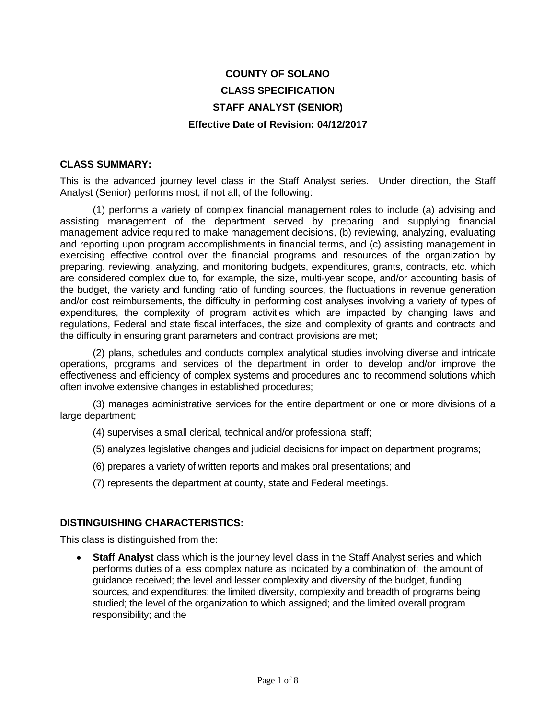# **COUNTY OF SOLANO CLASS SPECIFICATION STAFF ANALYST (SENIOR) Effective Date of Revision: 04/12/2017**

#### **CLASS SUMMARY:**

This is the advanced journey level class in the Staff Analyst series. Under direction, the Staff Analyst (Senior) performs most, if not all, of the following:

(1) performs a variety of complex financial management roles to include (a) advising and assisting management of the department served by preparing and supplying financial management advice required to make management decisions, (b) reviewing, analyzing, evaluating and reporting upon program accomplishments in financial terms, and (c) assisting management in exercising effective control over the financial programs and resources of the organization by preparing, reviewing, analyzing, and monitoring budgets, expenditures, grants, contracts, etc. which are considered complex due to, for example, the size, multi-year scope, and/or accounting basis of the budget, the variety and funding ratio of funding sources, the fluctuations in revenue generation and/or cost reimbursements, the difficulty in performing cost analyses involving a variety of types of expenditures, the complexity of program activities which are impacted by changing laws and regulations, Federal and state fiscal interfaces, the size and complexity of grants and contracts and the difficulty in ensuring grant parameters and contract provisions are met;

(2) plans, schedules and conducts complex analytical studies involving diverse and intricate operations, programs and services of the department in order to develop and/or improve the effectiveness and efficiency of complex systems and procedures and to recommend solutions which often involve extensive changes in established procedures;

(3) manages administrative services for the entire department or one or more divisions of a large department;

- (4) supervises a small clerical, technical and/or professional staff;
- (5) analyzes legislative changes and judicial decisions for impact on department programs;
- (6) prepares a variety of written reports and makes oral presentations; and
- (7) represents the department at county, state and Federal meetings.

#### **DISTINGUISHING CHARACTERISTICS:**

This class is distinguished from the:

• **Staff Analyst** class which is the journey level class in the Staff Analyst series and which performs duties of a less complex nature as indicated by a combination of: the amount of guidance received; the level and lesser complexity and diversity of the budget, funding sources, and expenditures; the limited diversity, complexity and breadth of programs being studied; the level of the organization to which assigned; and the limited overall program responsibility; and the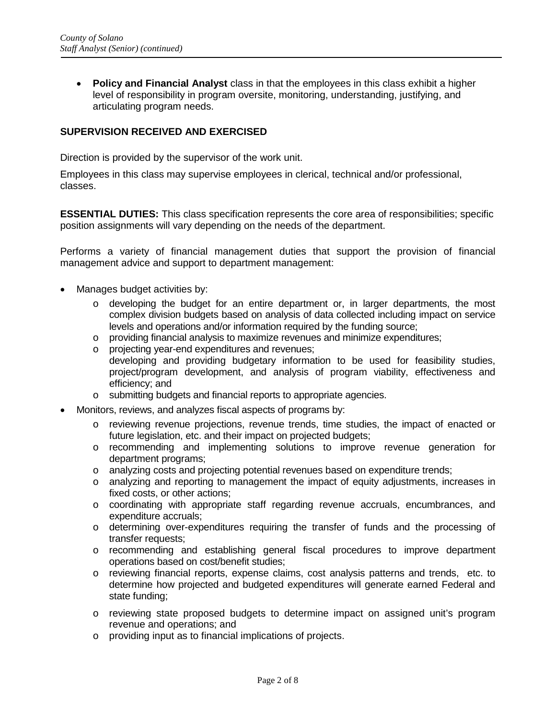• **Policy and Financial Analyst** class in that the employees in this class exhibit a higher level of responsibility in program oversite, monitoring, understanding, justifying, and articulating program needs.

# **SUPERVISION RECEIVED AND EXERCISED**

Direction is provided by the supervisor of the work unit.

Employees in this class may supervise employees in clerical, technical and/or professional, classes.

**ESSENTIAL DUTIES:** This class specification represents the core area of responsibilities; specific position assignments will vary depending on the needs of the department.

Performs a variety of financial management duties that support the provision of financial management advice and support to department management:

- Manages budget activities by:
	- $\circ$  developing the budget for an entire department or, in larger departments, the most complex division budgets based on analysis of data collected including impact on service levels and operations and/or information required by the funding source;
	- o providing financial analysis to maximize revenues and minimize expenditures;
	- o projecting year-end expenditures and revenues; developing and providing budgetary information to be used for feasibility studies, project/program development, and analysis of program viability, effectiveness and efficiency; and
	- o submitting budgets and financial reports to appropriate agencies.
- Monitors, reviews, and analyzes fiscal aspects of programs by:
	- o reviewing revenue projections, revenue trends, time studies, the impact of enacted or future legislation, etc. and their impact on projected budgets;
	- o recommending and implementing solutions to improve revenue generation for department programs;
	- o analyzing costs and projecting potential revenues based on expenditure trends;
	- o analyzing and reporting to management the impact of equity adjustments, increases in fixed costs, or other actions;
	- $\circ$  coordinating with appropriate staff regarding revenue accruals, encumbrances, and expenditure accruals;
	- o determining over-expenditures requiring the transfer of funds and the processing of transfer requests;
	- o recommending and establishing general fiscal procedures to improve department operations based on cost/benefit studies;
	- o reviewing financial reports, expense claims, cost analysis patterns and trends, etc. to determine how projected and budgeted expenditures will generate earned Federal and state funding;
	- o reviewing state proposed budgets to determine impact on assigned unit's program revenue and operations; and
	- o providing input as to financial implications of projects.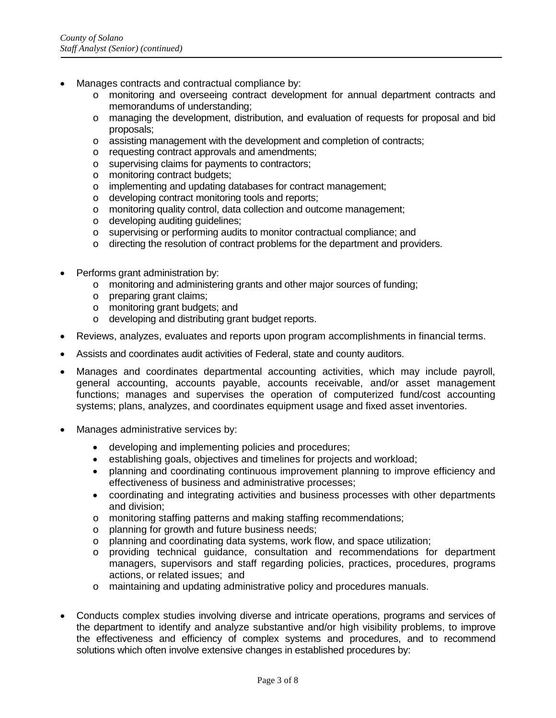- Manages contracts and contractual compliance by:
	- o monitoring and overseeing contract development for annual department contracts and memorandums of understanding;
	- o managing the development, distribution, and evaluation of requests for proposal and bid proposals;
	- o assisting management with the development and completion of contracts;
	- o requesting contract approvals and amendments;
	- o supervising claims for payments to contractors;
	- o monitoring contract budgets;
	- o implementing and updating databases for contract management;
	- o developing contract monitoring tools and reports;
	- o monitoring quality control, data collection and outcome management;
	- o developing auditing guidelines;
	- o supervising or performing audits to monitor contractual compliance; and
	- $\circ$  directing the resolution of contract problems for the department and providers.
- Performs grant administration by:
	- o monitoring and administering grants and other major sources of funding;
	- o preparing grant claims;
	- o monitoring grant budgets; and
	- o developing and distributing grant budget reports.
- Reviews, analyzes, evaluates and reports upon program accomplishments in financial terms.
- Assists and coordinates audit activities of Federal, state and county auditors.
- Manages and coordinates departmental accounting activities, which may include payroll, general accounting, accounts payable, accounts receivable, and/or asset management functions; manages and supervises the operation of computerized fund/cost accounting systems; plans, analyzes, and coordinates equipment usage and fixed asset inventories.
- Manages administrative services by:
	- developing and implementing policies and procedures;
	- establishing goals, objectives and timelines for projects and workload;
	- planning and coordinating continuous improvement planning to improve efficiency and effectiveness of business and administrative processes;
	- coordinating and integrating activities and business processes with other departments and division;
	- o monitoring staffing patterns and making staffing recommendations;
	- o planning for growth and future business needs;
	- o planning and coordinating data systems, work flow, and space utilization;
	- o providing technical guidance, consultation and recommendations for department managers, supervisors and staff regarding policies, practices, procedures, programs actions, or related issues; and
	- o maintaining and updating administrative policy and procedures manuals.
- Conducts complex studies involving diverse and intricate operations, programs and services of the department to identify and analyze substantive and/or high visibility problems, to improve the effectiveness and efficiency of complex systems and procedures, and to recommend solutions which often involve extensive changes in established procedures by: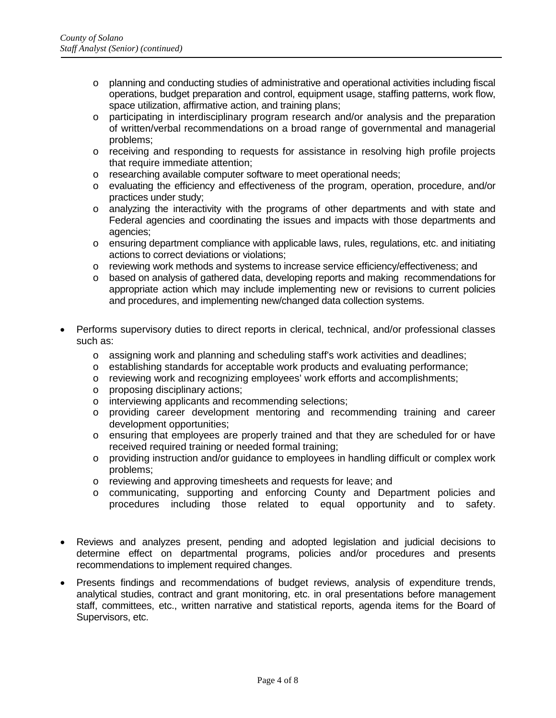- o planning and conducting studies of administrative and operational activities including fiscal operations, budget preparation and control, equipment usage, staffing patterns, work flow, space utilization, affirmative action, and training plans;
- o participating in interdisciplinary program research and/or analysis and the preparation of written/verbal recommendations on a broad range of governmental and managerial problems;
- o receiving and responding to requests for assistance in resolving high profile projects that require immediate attention;
- o researching available computer software to meet operational needs;
- o evaluating the efficiency and effectiveness of the program, operation, procedure, and/or practices under study;
- o analyzing the interactivity with the programs of other departments and with state and Federal agencies and coordinating the issues and impacts with those departments and agencies;
- $\circ$  ensuring department compliance with applicable laws, rules, regulations, etc. and initiating actions to correct deviations or violations;
- o reviewing work methods and systems to increase service efficiency/effectiveness; and
- o based on analysis of gathered data, developing reports and making recommendations for appropriate action which may include implementing new or revisions to current policies and procedures, and implementing new/changed data collection systems.
- Performs supervisory duties to direct reports in clerical, technical, and/or professional classes such as:
	- o assigning work and planning and scheduling staff's work activities and deadlines;
	- o establishing standards for acceptable work products and evaluating performance;
	- o reviewing work and recognizing employees' work efforts and accomplishments;
	- o proposing disciplinary actions;
	- o interviewing applicants and recommending selections;
	- o providing career development mentoring and recommending training and career development opportunities;
	- o ensuring that employees are properly trained and that they are scheduled for or have received required training or needed formal training;
	- o providing instruction and/or guidance to employees in handling difficult or complex work problems;
	- o reviewing and approving timesheets and requests for leave; and
	- o communicating, supporting and enforcing County and Department policies and procedures including those related to equal opportunity and to safety.
- Reviews and analyzes present, pending and adopted legislation and judicial decisions to determine effect on departmental programs, policies and/or procedures and presents recommendations to implement required changes.
- Presents findings and recommendations of budget reviews, analysis of expenditure trends, analytical studies, contract and grant monitoring, etc. in oral presentations before management staff, committees, etc., written narrative and statistical reports, agenda items for the Board of Supervisors, etc.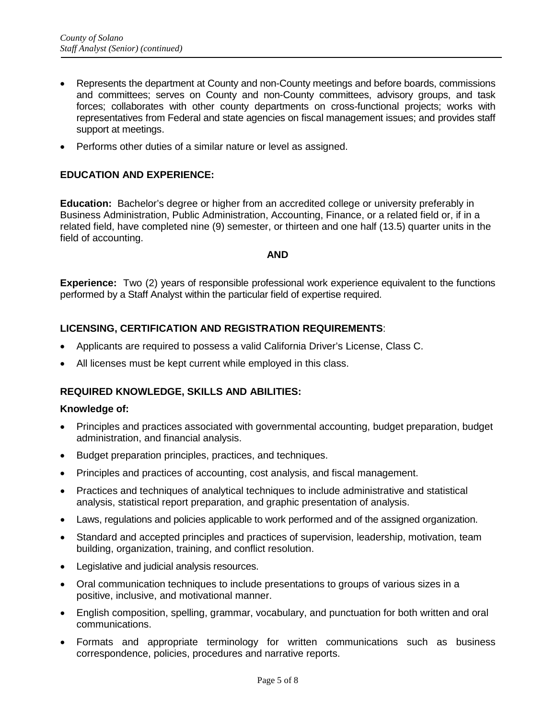- Represents the department at County and non-County meetings and before boards, commissions and committees; serves on County and non-County committees, advisory groups, and task forces; collaborates with other county departments on cross-functional projects; works with representatives from Federal and state agencies on fiscal management issues; and provides staff support at meetings.
- Performs other duties of a similar nature or level as assigned.

#### **EDUCATION AND EXPERIENCE:**

**Education:** Bachelor's degree or higher from an accredited college or university preferably in Business Administration, Public Administration, Accounting, Finance, or a related field or, if in a related field, have completed nine (9) semester, or thirteen and one half (13.5) quarter units in the field of accounting.

#### **AND**

**Experience:** Two (2) years of responsible professional work experience equivalent to the functions performed by a Staff Analyst within the particular field of expertise required.

## **LICENSING, CERTIFICATION AND REGISTRATION REQUIREMENTS**:

- Applicants are required to possess a valid California Driver's License, Class C.
- All licenses must be kept current while employed in this class.

## **REQUIRED KNOWLEDGE, SKILLS AND ABILITIES:**

#### **Knowledge of:**

- Principles and practices associated with governmental accounting, budget preparation, budget administration, and financial analysis.
- Budget preparation principles, practices, and techniques.
- Principles and practices of accounting, cost analysis, and fiscal management.
- Practices and techniques of analytical techniques to include administrative and statistical analysis, statistical report preparation, and graphic presentation of analysis.
- Laws, regulations and policies applicable to work performed and of the assigned organization.
- Standard and accepted principles and practices of supervision, leadership, motivation, team building, organization, training, and conflict resolution.
- Legislative and judicial analysis resources.
- Oral communication techniques to include presentations to groups of various sizes in a positive, inclusive, and motivational manner.
- English composition, spelling, grammar, vocabulary, and punctuation for both written and oral communications.
- Formats and appropriate terminology for written communications such as business correspondence, policies, procedures and narrative reports.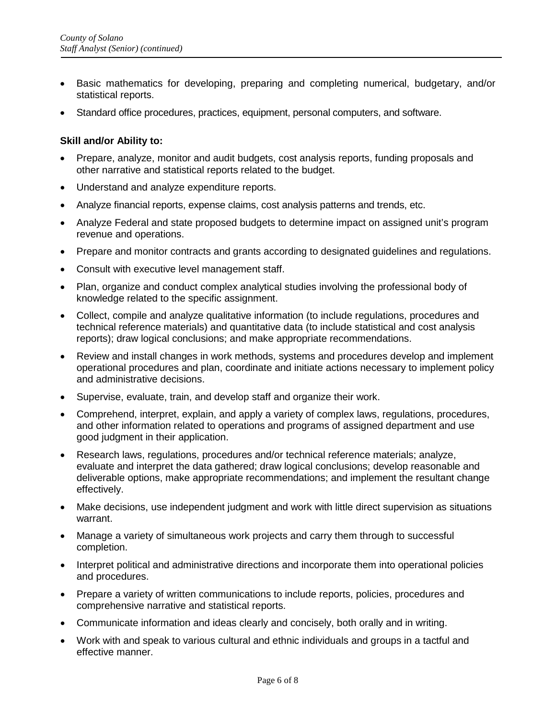- Basic mathematics for developing, preparing and completing numerical, budgetary, and/or statistical reports.
- Standard office procedures, practices, equipment, personal computers, and software.

#### **Skill and/or Ability to:**

- Prepare, analyze, monitor and audit budgets, cost analysis reports, funding proposals and other narrative and statistical reports related to the budget.
- Understand and analyze expenditure reports.
- Analyze financial reports, expense claims, cost analysis patterns and trends, etc.
- Analyze Federal and state proposed budgets to determine impact on assigned unit's program revenue and operations.
- Prepare and monitor contracts and grants according to designated guidelines and regulations.
- Consult with executive level management staff.
- Plan, organize and conduct complex analytical studies involving the professional body of knowledge related to the specific assignment.
- Collect, compile and analyze qualitative information (to include regulations, procedures and technical reference materials) and quantitative data (to include statistical and cost analysis reports); draw logical conclusions; and make appropriate recommendations.
- Review and install changes in work methods, systems and procedures develop and implement operational procedures and plan, coordinate and initiate actions necessary to implement policy and administrative decisions.
- Supervise, evaluate, train, and develop staff and organize their work.
- Comprehend, interpret, explain, and apply a variety of complex laws, regulations, procedures, and other information related to operations and programs of assigned department and use good judgment in their application.
- Research laws, regulations, procedures and/or technical reference materials; analyze, evaluate and interpret the data gathered; draw logical conclusions; develop reasonable and deliverable options, make appropriate recommendations; and implement the resultant change effectively.
- Make decisions, use independent judgment and work with little direct supervision as situations warrant.
- Manage a variety of simultaneous work projects and carry them through to successful completion.
- Interpret political and administrative directions and incorporate them into operational policies and procedures.
- Prepare a variety of written communications to include reports, policies, procedures and comprehensive narrative and statistical reports.
- Communicate information and ideas clearly and concisely, both orally and in writing.
- Work with and speak to various cultural and ethnic individuals and groups in a tactful and effective manner.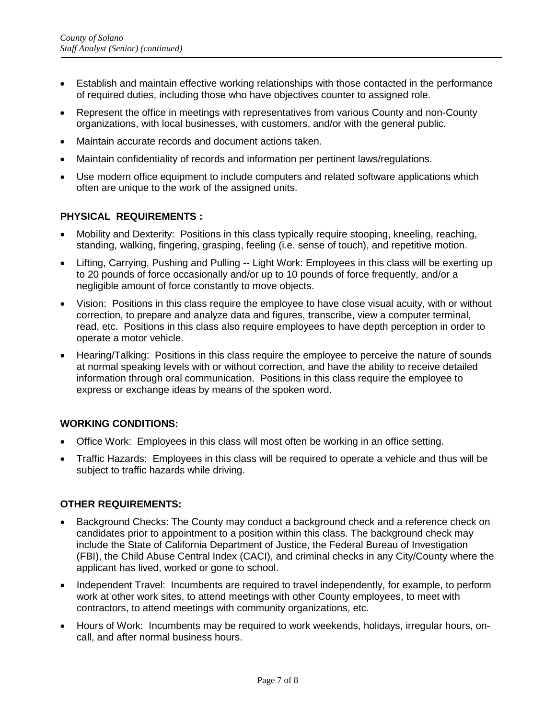- Establish and maintain effective working relationships with those contacted in the performance of required duties, including those who have objectives counter to assigned role.
- Represent the office in meetings with representatives from various County and non-County organizations, with local businesses, with customers, and/or with the general public.
- Maintain accurate records and document actions taken.
- Maintain confidentiality of records and information per pertinent laws/regulations.
- Use modern office equipment to include computers and related software applications which often are unique to the work of the assigned units.

## **PHYSICAL REQUIREMENTS :**

- Mobility and Dexterity: Positions in this class typically require stooping, kneeling, reaching, standing, walking, fingering, grasping, feeling (i.e. sense of touch), and repetitive motion.
- Lifting, Carrying, Pushing and Pulling -- Light Work: Employees in this class will be exerting up to 20 pounds of force occasionally and/or up to 10 pounds of force frequently, and/or a negligible amount of force constantly to move objects.
- Vision: Positions in this class require the employee to have close visual acuity, with or without correction, to prepare and analyze data and figures, transcribe, view a computer terminal, read, etc. Positions in this class also require employees to have depth perception in order to operate a motor vehicle.
- Hearing/Talking: Positions in this class require the employee to perceive the nature of sounds at normal speaking levels with or without correction, and have the ability to receive detailed information through oral communication. Positions in this class require the employee to express or exchange ideas by means of the spoken word.

## **WORKING CONDITIONS:**

- Office Work: Employees in this class will most often be working in an office setting.
- Traffic Hazards: Employees in this class will be required to operate a vehicle and thus will be subject to traffic hazards while driving.

## **OTHER REQUIREMENTS:**

- Background Checks: The County may conduct a background check and a reference check on candidates prior to appointment to a position within this class. The background check may include the State of California Department of Justice, the Federal Bureau of Investigation (FBI), the Child Abuse Central Index (CACI), and criminal checks in any City/County where the applicant has lived, worked or gone to school.
- Independent Travel: Incumbents are required to travel independently, for example, to perform work at other work sites, to attend meetings with other County employees, to meet with contractors, to attend meetings with community organizations, etc.
- Hours of Work: Incumbents may be required to work weekends, holidays, irregular hours, oncall, and after normal business hours.